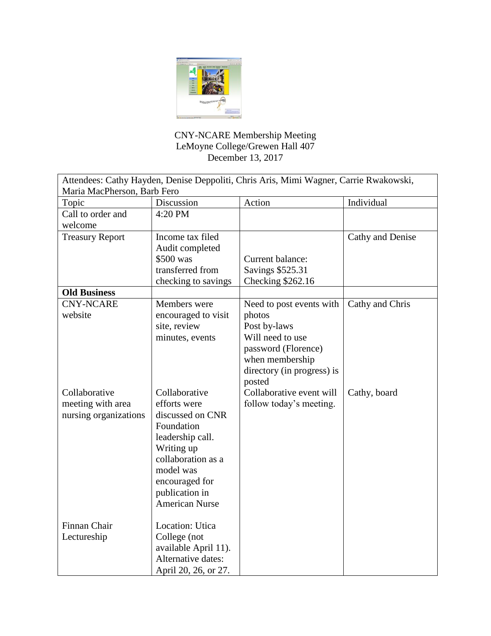

## CNY-NCARE Membership Meeting LeMoyne College/Grewen Hall 407 December 13, 2017

| Attendees: Cathy Hayden, Denise Deppoliti, Chris Aris, Mimi Wagner, Carrie Rwakowski,<br>Maria MacPherson, Barb Fero |                                                                                                                                                                                  |                                                                                                                              |                  |
|----------------------------------------------------------------------------------------------------------------------|----------------------------------------------------------------------------------------------------------------------------------------------------------------------------------|------------------------------------------------------------------------------------------------------------------------------|------------------|
| Topic                                                                                                                | Discussion                                                                                                                                                                       | Action                                                                                                                       | Individual       |
| Call to order and<br>welcome                                                                                         | 4:20 PM                                                                                                                                                                          |                                                                                                                              |                  |
| <b>Treasury Report</b><br><b>Old Business</b>                                                                        | Income tax filed<br>Audit completed<br>\$500 was<br>transferred from<br>checking to savings                                                                                      | Current balance:<br>Savings \$525.31<br>Checking \$262.16                                                                    | Cathy and Denise |
| <b>CNY-NCARE</b>                                                                                                     | Members were                                                                                                                                                                     | Need to post events with                                                                                                     | Cathy and Chris  |
| website                                                                                                              | encouraged to visit<br>site, review<br>minutes, events                                                                                                                           | photos<br>Post by-laws<br>Will need to use<br>password (Florence)<br>when membership<br>directory (in progress) is<br>posted |                  |
| Collaborative                                                                                                        | Collaborative                                                                                                                                                                    | Collaborative event will                                                                                                     | Cathy, board     |
| meeting with area<br>nursing organizations                                                                           | efforts were<br>discussed on CNR<br>Foundation<br>leadership call.<br>Writing up<br>collaboration as a<br>model was<br>encouraged for<br>publication in<br><b>American Nurse</b> | follow today's meeting.                                                                                                      |                  |
| Finnan Chair<br>Lectureship                                                                                          | Location: Utica<br>College (not<br>available April 11).<br>Alternative dates:<br>April 20, 26, or 27.                                                                            |                                                                                                                              |                  |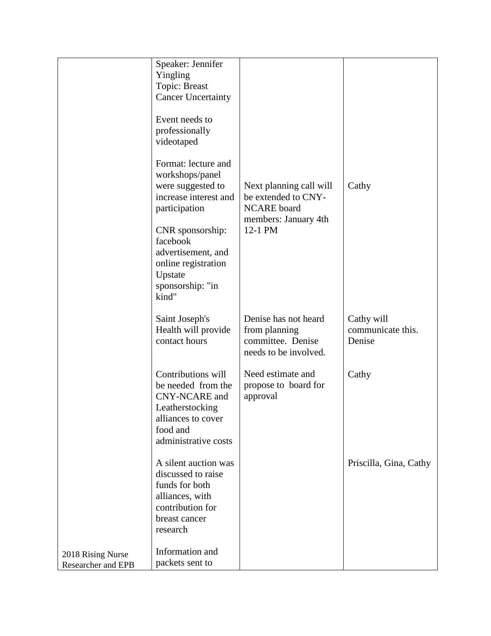|                                         | Speaker: Jennifer<br>Yingling<br>Topic: Breast<br><b>Cancer Uncertainty</b><br>Event needs to<br>professionally<br>videotaped<br>Format: lecture and<br>workshops/panel<br>were suggested to<br>increase interest and<br>participation<br>CNR sponsorship:<br>facebook<br>advertisement, and<br>online registration<br>Upstate<br>sponsorship: "in<br>kind" | Next planning call will<br>be extended to CNY-<br><b>NCARE</b> board<br>members: January 4th<br>12-1 PM | Cathy                                     |
|-----------------------------------------|-------------------------------------------------------------------------------------------------------------------------------------------------------------------------------------------------------------------------------------------------------------------------------------------------------------------------------------------------------------|---------------------------------------------------------------------------------------------------------|-------------------------------------------|
|                                         | Saint Joseph's<br>Health will provide<br>contact hours                                                                                                                                                                                                                                                                                                      | Denise has not heard<br>from planning<br>committee. Denise<br>needs to be involved.                     | Cathy will<br>communicate this.<br>Denise |
|                                         | Contributions will<br>be needed from the<br>CNY-NCARE and<br>Leatherstocking<br>alliances to cover<br>food and<br>administrative costs                                                                                                                                                                                                                      | Need estimate and<br>propose to board for<br>approval                                                   | Cathy                                     |
|                                         | A silent auction was<br>discussed to raise<br>funds for both<br>alliances, with<br>contribution for<br>breast cancer<br>research                                                                                                                                                                                                                            |                                                                                                         | Priscilla, Gina, Cathy                    |
| 2018 Rising Nurse<br>Researcher and EPB | Information and<br>packets sent to                                                                                                                                                                                                                                                                                                                          |                                                                                                         |                                           |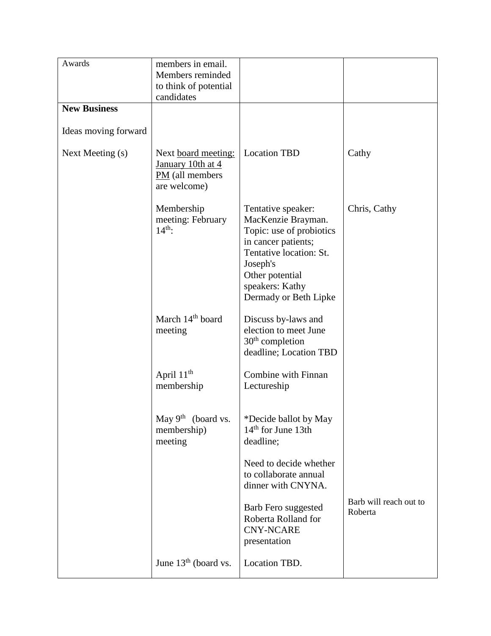| Awards               | members in email.<br>Members reminded<br>to think of potential<br>candidates  |                                                                                                                                                                                                   |                                   |
|----------------------|-------------------------------------------------------------------------------|---------------------------------------------------------------------------------------------------------------------------------------------------------------------------------------------------|-----------------------------------|
| <b>New Business</b>  |                                                                               |                                                                                                                                                                                                   |                                   |
| Ideas moving forward |                                                                               |                                                                                                                                                                                                   |                                   |
| Next Meeting (s)     | Next board meeting:<br>January 10th at 4<br>$PM$ (all members<br>are welcome) | <b>Location TBD</b>                                                                                                                                                                               | Cathy                             |
|                      | Membership<br>meeting: February<br>$14th$ :                                   | Tentative speaker:<br>MacKenzie Brayman.<br>Topic: use of probiotics<br>in cancer patients;<br>Tentative location: St.<br>Joseph's<br>Other potential<br>speakers: Kathy<br>Dermady or Beth Lipke | Chris, Cathy                      |
|                      | March 14 <sup>th</sup> board<br>meeting                                       | Discuss by-laws and<br>election to meet June<br>$30th$ completion<br>deadline; Location TBD                                                                                                       |                                   |
|                      | April $11th$<br>membership                                                    | Combine with Finnan<br>Lectureship                                                                                                                                                                |                                   |
|                      | May 9 <sup>th</sup> (board vs.<br>membership)<br>meeting                      | *Decide ballot by May<br>$14th$ for June 13th<br>deadline;                                                                                                                                        |                                   |
|                      |                                                                               | Need to decide whether<br>to collaborate annual<br>dinner with CNYNA.                                                                                                                             |                                   |
|                      |                                                                               | Barb Fero suggested<br>Roberta Rolland for<br><b>CNY-NCARE</b><br>presentation                                                                                                                    | Barb will reach out to<br>Roberta |
|                      | June $13th$ (board vs.                                                        | Location TBD.                                                                                                                                                                                     |                                   |